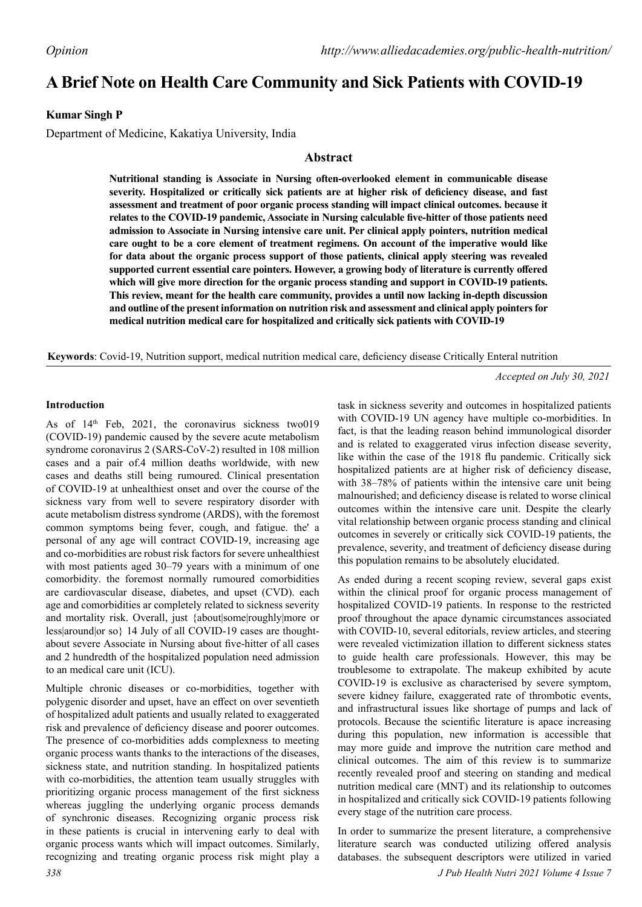# **A Brief Note on Health Care Community and Sick Patients with COVID-19**

## **Kumar Singh P**

Department of Medicine, Kakatiya University, India

### **Abstract**

**Nutritional standing is Associate in Nursing often-overlooked element in communicable disease severity. Hospitalized or critically sick patients are at higher risk of deficiency disease, and fast assessment and treatment of poor organic process standing will impact clinical outcomes. because it relates to the COVID-19 pandemic, Associate in Nursing calculable five-hitter of those patients need admission to Associate in Nursing intensive care unit. Per clinical apply pointers, nutrition medical care ought to be a core element of treatment regimens. On account of the imperative would like for data about the organic process support of those patients, clinical apply steering was revealed supported current essential care pointers. However, a growing body of literature is currently offered which will give more direction for the organic process standing and support in COVID-19 patients. This review, meant for the health care community, provides a until now lacking in-depth discussion and outline of the present information on nutrition risk and assessment and clinical apply pointers for medical nutrition medical care for hospitalized and critically sick patients with COVID-19**

**Keywords**: Covid-19, Nutrition support, medical nutrition medical care, deficiency disease Critically Enteral nutrition

*Accepted on July 30, 2021*

#### **Introduction**

As of 14<sup>th</sup> Feb, 2021, the coronavirus sickness two019 (COVID-19) pandemic caused by the severe acute metabolism syndrome coronavirus 2 (SARS-CoV-2) resulted in 108 million cases and a pair of.4 million deaths worldwide, with new cases and deaths still being rumoured. Clinical presentation of COVID-19 at unhealthiest onset and over the course of the sickness vary from well to severe respiratory disorder with acute metabolism distress syndrome (ARDS), with the foremost common symptoms being fever, cough, and fatigue. the' a personal of any age will contract COVID-19, increasing age and co-morbidities are robust risk factors for severe unhealthiest with most patients aged 30–79 years with a minimum of one comorbidity. the foremost normally rumoured comorbidities are cardiovascular disease, diabetes, and upset (CVD). each age and comorbidities ar completely related to sickness severity and mortality risk. Overall, just {about|some|roughly|more or less|around|or so} 14 July of all COVID-19 cases are thoughtabout severe Associate in Nursing about five-hitter of all cases and 2 hundredth of the hospitalized population need admission to an medical care unit (ICU).

Multiple chronic diseases or co-morbidities, together with polygenic disorder and upset, have an effect on over seventieth of hospitalized adult patients and usually related to exaggerated risk and prevalence of deficiency disease and poorer outcomes. The presence of co-morbidities adds complexness to meeting organic process wants thanks to the interactions of the diseases, sickness state, and nutrition standing. In hospitalized patients with co-morbidities, the attention team usually struggles with prioritizing organic process management of the first sickness whereas juggling the underlying organic process demands of synchronic diseases. Recognizing organic process risk in these patients is crucial in intervening early to deal with organic process wants which will impact outcomes. Similarly, recognizing and treating organic process risk might play a task in sickness severity and outcomes in hospitalized patients with COVID-19 UN agency have multiple co-morbidities. In fact, is that the leading reason behind immunological disorder and is related to exaggerated virus infection disease severity, like within the case of the 1918 flu pandemic. Critically sick hospitalized patients are at higher risk of deficiency disease, with 38–78% of patients within the intensive care unit being malnourished; and deficiency disease is related to worse clinical outcomes within the intensive care unit. Despite the clearly vital relationship between organic process standing and clinical outcomes in severely or critically sick COVID-19 patients, the prevalence, severity, and treatment of deficiency disease during this population remains to be absolutely elucidated.

As ended during a recent scoping review, several gaps exist within the clinical proof for organic process management of hospitalized COVID-19 patients. In response to the restricted proof throughout the apace dynamic circumstances associated with COVID-10, several editorials, review articles, and steering were revealed victimization illation to different sickness states to guide health care professionals. However, this may be troublesome to extrapolate. The makeup exhibited by acute COVID-19 is exclusive as characterised by severe symptom, severe kidney failure, exaggerated rate of thrombotic events, and infrastructural issues like shortage of pumps and lack of protocols. Because the scientific literature is apace increasing during this population, new information is accessible that may more guide and improve the nutrition care method and clinical outcomes. The aim of this review is to summarize recently revealed proof and steering on standing and medical nutrition medical care (MNT) and its relationship to outcomes in hospitalized and critically sick COVID-19 patients following every stage of the nutrition care process.

In order to summarize the present literature, a comprehensive literature search was conducted utilizing offered analysis databases. the subsequent descriptors were utilized in varied